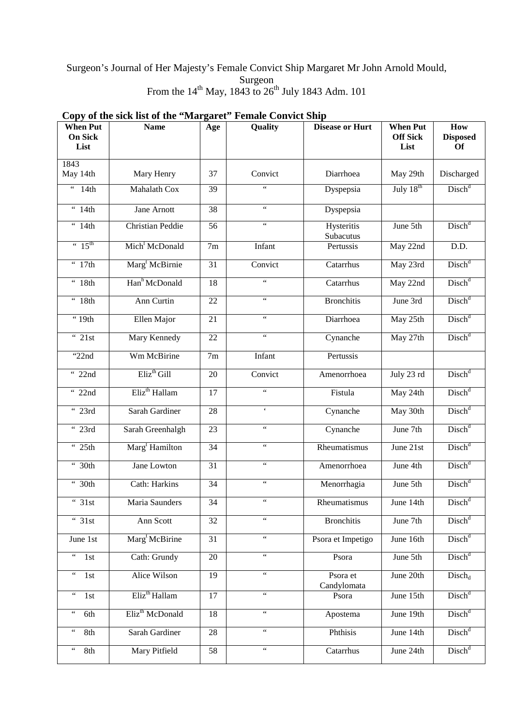## Surgeon's Journal of Her Majesty's Female Convict Ship Margaret Mr John Arnold Mould, Surgeon From the  $14^{th}$  May, 1843 to  $26^{th}$  July 1843 Adm. 101

| <b>When Put</b><br><b>On Sick</b><br>List               | <b>Name</b>                 | Age             | Quality                                 | <b>Disease or Hurt</b>  | <b>When Put</b><br><b>Off Sick</b><br>List | How<br><b>Disposed</b><br>Of |
|---------------------------------------------------------|-----------------------------|-----------------|-----------------------------------------|-------------------------|--------------------------------------------|------------------------------|
| 1843<br>May 14th                                        | Mary Henry                  | 37              | Convict                                 | Diarrhoea               | May 29th                                   | Discharged                   |
| $\epsilon\,\epsilon$<br>14th                            | Mahalath Cox                | 39              | $\zeta\,\zeta$                          | Dyspepsia               | $J \overline{uly} 18^{th}$                 | Disch <sup>d</sup>           |
| $\overline{4t}$                                         | Jane Arnott                 | 38              | $\zeta$ $\zeta$                         | Dyspepsia               |                                            |                              |
| 44th                                                    | <b>Christian Peddie</b>     | 56              | $\zeta$ $\zeta$                         | Hysteritis<br>Subacutus | June 5th                                   | Disch <sup>d</sup>           |
| $\cdot \cdot 15^{\text{th}}$                            | Mich <sup>1</sup> McDonald  | 7m              | Infant                                  | Pertussis               | May 22nd                                   | D.D.                         |
| $\frac{4}{17}$ th                                       | Marg <sup>t</sup> McBirnie  | 31              | Convict                                 | Catarrhus               | May 23rd                                   | Disch <sup>d</sup>           |
| $\overline{44}$ 18th                                    | Han <sup>h</sup> McDonald   | 18              | $\zeta\,\zeta$                          | Catarrhus               | May 22nd                                   | Disch <sup>d</sup>           |
| $\overline{48}$ th                                      | Ann Curtin                  | 22              | $\zeta$ $\zeta$                         | <b>Bronchitis</b>       | June 3rd                                   | Disch <sup>d</sup>           |
| $\cdot$ 19th                                            | Ellen Major                 | 21              | $\boldsymbol{\zeta} \boldsymbol{\zeta}$ | Diarrhoea               | May 25th                                   | Disch <sup>d</sup>           |
| 421st                                                   | Mary Kennedy                | 22              | $\overline{\mathfrak{c}\mathfrak{c}}$   | Cynanche                | May 27th                                   | Disch <sup>d</sup>           |
| " $22nd$                                                | Wm McBirine                 | 7m              | Infant                                  | Pertussis               |                                            |                              |
| " 22nd                                                  | Eliz <sup>th</sup> Gill     | $\overline{20}$ | Convict                                 | Amenorrhoea             | July 23 rd                                 | Disch <sup>d</sup>           |
| $\overline{22nd}$                                       | Eliz <sup>th</sup> Hallam   | 17              | $\overline{\mathfrak{c}\mathfrak{c}}$   | Fistula                 | May 24th                                   | Disch <sup>d</sup>           |
| " 23rd                                                  | Sarah Gardiner              | 28              | $\pmb{\zeta}$                           | Cynanche                | May 30th                                   | Disch <sup>d</sup>           |
| " 23rd                                                  | Sarah Greenhalgh            | 23              | $\overline{\mathfrak{c}\mathfrak{c}}$   | Cynanche                | June 7th                                   | Disch <sup>d</sup>           |
| $\frac{4}{12}$ 25th                                     | Marg <sup>t</sup> Hamilton  | $\overline{34}$ | $\boldsymbol{\zeta} \boldsymbol{\zeta}$ | Rheumatismus            | June 21st                                  | Disch <sup>d</sup>           |
| $\overline{30th}$                                       | Jane Lowton                 | $\overline{31}$ | $\zeta$ $\zeta$                         | Amenorrhoea             | June 4th                                   | Disch <sup>d</sup>           |
| " 30th                                                  | Cath: Harkins               | 34              | $\zeta\,\zeta$                          | Menorrhagia             | June 5th                                   | Disch <sup>d</sup>           |
| $\overline{31st}$                                       | Maria Saunders              | $\overline{34}$ | $\zeta\,\zeta$                          | Rheumatismus            | June 14th                                  | Disch <sup>d</sup>           |
| $\overline{31st}$                                       | Ann Scott                   | 32              | $\zeta$ $\zeta$                         | <b>Bronchitis</b>       | June 7th                                   | Disch <sup>d</sup>           |
| June 1st                                                | Marg <sup>t</sup> McBirine  | $\overline{31}$ | $\overline{\mathfrak{c}\mathfrak{c}}$   | Psora et Impetigo       | June 16th                                  | Disch <sup>d</sup>           |
| $\boldsymbol{\epsilon}$<br>1st                          | Cath: Grundy                | 20              | $\zeta\,\zeta$                          | Psora                   | June 5th                                   | Disch <sup>d</sup>           |
| $\boldsymbol{\epsilon}$ $\boldsymbol{\epsilon}$<br>1st  | Alice Wilson                | 19              | $\zeta\,\zeta$                          | Psora et<br>Candylomata | June 20th                                  | $Disch_d$                    |
| $\epsilon$ $\epsilon$<br>1st                            | Eliz <sup>th</sup> Hallam   | 17              | $\overline{\mathfrak{c}\mathfrak{c}}$   | Psora                   | June 15th                                  | Disch <sup>d</sup>           |
| $\leftrightsquigarrow$<br>6th                           | Eliz <sup>th</sup> McDonald | 18              | $\zeta\,\zeta$                          | Apostema                | June 19th                                  | Disch <sup>d</sup>           |
| $\boldsymbol{\epsilon} \, \boldsymbol{\epsilon}$<br>8th | Sarah Gardiner              | 28              | $\zeta\,\zeta$                          | Phthisis                | June 14th                                  | Disch <sup>d</sup>           |
| $\leftrightsquigarrow$<br>8th                           | Mary Pitfield               | 58              | $\overline{\mathfrak{c}}$               | Catarrhus               | June 24th                                  | Disch <sup>d</sup>           |

# **Copy of the sick list of the "Margaret" Female Convict Ship**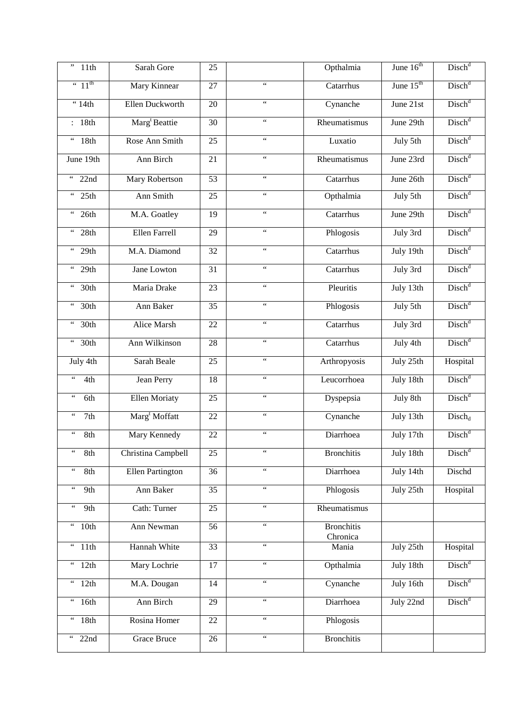| ,,<br>11th                                              | Sarah Gore                | 25              |                                         | Opthalmia                     | June 16 <sup>th</sup> | Disch <sup>d</sup> |
|---------------------------------------------------------|---------------------------|-----------------|-----------------------------------------|-------------------------------|-----------------------|--------------------|
| $\cdot \cdot 11^{\text{th}}$                            | Mary Kinnear              | $\overline{27}$ | $\overline{\mathfrak{c}\mathfrak{c}}$   | Catarrhus                     | June $15th$           | Disch <sup>d</sup> |
| $\cdot$ 14th                                            | Ellen Duckworth           | 20              | $\zeta\,\zeta$                          | Cynanche                      | June 21st             | Disch <sup>d</sup> |
| : 18th                                                  | Marg <sup>t</sup> Beattie | 30              | $\boldsymbol{\zeta} \boldsymbol{\zeta}$ | Rheumatismus                  | June 29th             | Disch <sup>d</sup> |
| $\boldsymbol{\zeta} \, \boldsymbol{\zeta}$<br>18th      | Rose Ann Smith            | 25              | $\overline{\mathfrak{c}\mathfrak{c}}$   | Luxatio                       | July 5th              | Disch <sup>d</sup> |
| June 19th                                               | Ann Birch                 | 21              | $\zeta\,\zeta$                          | Rheumatismus                  | June 23rd             | Disch <sup>d</sup> |
| $\epsilon\,\epsilon$<br>22nd                            | <b>Mary Robertson</b>     | 53              | $\zeta\,\zeta$                          | Catarrhus                     | June 26th             | Disch <sup>d</sup> |
| $\boldsymbol{\epsilon}$ $\boldsymbol{\epsilon}$<br>25th | Ann Smith                 | 25              | $\zeta \, \zeta$                        | Opthalmia                     | July 5th              | Disch <sup>d</sup> |
| $\epsilon\,\epsilon$<br>26th                            | M.A. Goatley              | 19              | $\zeta\,\zeta$                          | Catarrhus                     | June 29th             | Disch <sup>d</sup> |
| $\leftrightsquigarrow$<br>28th                          | Ellen Farrell             | 29              | $\zeta\,\zeta$                          | Phlogosis                     | July 3rd              | Disch <sup>d</sup> |
| $\boldsymbol{\epsilon}$ $\boldsymbol{\epsilon}$<br>29th | M.A. Diamond              | $\overline{32}$ | $\mathfrak{c}\mathfrak{c}$              | Catarrhus                     | July 19th             | Disch <sup>d</sup> |
| $\boldsymbol{\epsilon}$<br>29th                         | Jane Lowton               | 31              | $\zeta$ $\zeta$                         | Catarrhus                     | July 3rd              | Disch <sup>d</sup> |
| 30th<br>$\epsilon\,\epsilon$                            | Maria Drake               | $\overline{23}$ | $\mathfrak{c}\mathfrak{c}$              | Pleuritis                     | July 13th             | Disch <sup>d</sup> |
| $\boldsymbol{\epsilon}$<br>30 <sub>th</sub>             | Ann Baker                 | $\overline{35}$ | $\mathfrak{c}\mathfrak{c}$              | Phlogosis                     | July 5th              | Disch <sup>d</sup> |
| 30th<br>$\epsilon\epsilon$                              | <b>Alice Marsh</b>        | $\overline{22}$ | $\mathfrak{c}\mathfrak{c}$              | Catarrhus                     | July 3rd              | Disch <sup>d</sup> |
| $\boldsymbol{\epsilon}$<br>30 <sub>th</sub>             | Ann Wilkinson             | 28              | $\zeta$ $\zeta$                         | Catarrhus                     | July 4th              | Disch <sup>d</sup> |
| July 4th                                                | Sarah Beale               | 25              | $\mathfrak{c}\mathfrak{c}$              | Arthropyosis                  | July 25th             | Hospital           |
| $\zeta\,\zeta$<br>4th                                   | <b>Jean Perry</b>         | $\overline{18}$ | $\mathfrak{c}\mathfrak{c}$              | Leucorrhoea                   | July 18th             | Disch <sup>d</sup> |
| $\epsilon\epsilon$<br>6th                               | <b>Ellen Moriaty</b>      | $\overline{25}$ | $\mathfrak{c}\mathfrak{c}$              | Dyspepsia                     | July 8th              | Disch <sup>d</sup> |
| $\epsilon\,\epsilon$<br>$\overline{7th}$                | Marg <sup>t</sup> Moffatt | $\overline{22}$ | $\zeta$ $\zeta$                         | Cynanche                      | July 13th             | $Disch_d$          |
| $\epsilon$ $\epsilon$<br>8th                            | Mary Kennedy              | 22              | $\zeta\,\zeta$                          | Diarrhoea                     | July 17th             | Disch <sup>d</sup> |
| $\zeta\,\zeta$<br>8th                                   | Christina Campbell        | 25              | $\zeta \, \zeta$                        | <b>Bronchitis</b>             | July 18th             | Disch <sup>d</sup> |
| $\boldsymbol{\zeta} \, \boldsymbol{\zeta}$<br>8th       | Ellen Partington          | 36              | $\zeta\,\zeta$                          | Diarrhoea                     | July 14th             | Dischd             |
| $\epsilon\,\epsilon$<br>9th                             | Ann Baker                 | 35              | $\overline{\mathfrak{c}\mathfrak{c}}$   | Phlogosis                     | July 25th             | Hospital           |
| $\zeta\,\zeta$<br>9th                                   | Cath: Turner              | 25              | $\zeta \, \zeta$                        | Rheumatismus                  |                       |                    |
| $\epsilon$ $\epsilon$<br>10th                           | Ann Newman                | 56              | $\zeta\,\zeta$                          | <b>Bronchitis</b><br>Chronica |                       |                    |
| $\boldsymbol{\epsilon}$<br>11th                         | Hannah White              | 33              | $\zeta\,\zeta$                          | Mania                         | July 25th             | Hospital           |
| $\boldsymbol{\epsilon}$<br>12th                         | Mary Lochrie              | 17              | $\overline{\mathfrak{c}\mathfrak{c}}$   | Opthalmia                     | July 18th             | $\text{Disch}^d$   |
| $\epsilon\,\epsilon$<br>12th                            | M.A. Dougan               | 14              | $\boldsymbol{\zeta} \boldsymbol{\zeta}$ | Cynanche                      | July 16th             | Disch <sup>d</sup> |
| $\boldsymbol{\epsilon}$ $\boldsymbol{\epsilon}$<br>16th | Ann Birch                 | 29              | $\zeta\,\zeta$                          | Diarrhoea                     | July 22nd             | Disch <sup>d</sup> |
| $\boldsymbol{\epsilon}$ $\boldsymbol{\epsilon}$<br>18th | Rosina Homer              | 22              | $\boldsymbol{\zeta} \boldsymbol{\zeta}$ | Phlogosis                     |                       |                    |
| $22n\overline{d}$<br>$\epsilon\,\epsilon$               | Grace Bruce               | 26              | $\zeta\,\zeta$                          | <b>Bronchitis</b>             |                       |                    |
|                                                         |                           |                 |                                         |                               |                       |                    |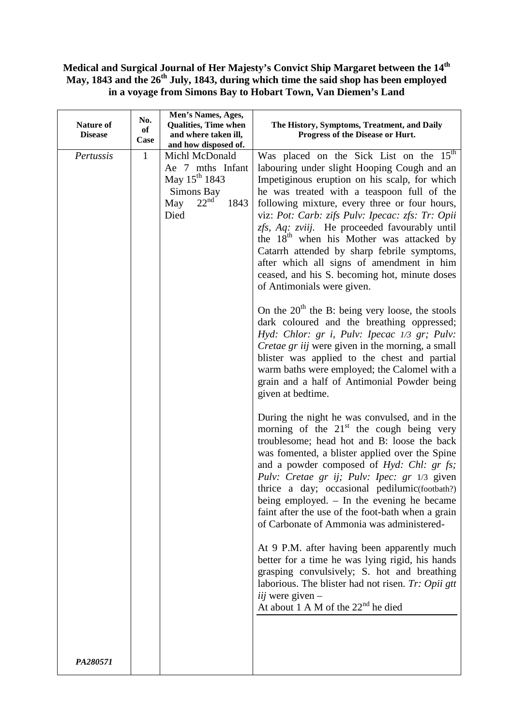### **Medical and Surgical Journal of Her Majesty's Convict Ship Margaret between the 14th May, 1843 and the 26th July, 1843, during which time the said shop has been employed in a voyage from Simons Bay to Hobart Town, Van Diemen's Land**

| <b>Nature of</b><br><b>Disease</b> | No.<br>of<br>Case | Men's Names, Ages,<br><b>Qualities, Time when</b><br>and where taken ill,<br>and how disposed of.                        | The History, Symptoms, Treatment, and Daily<br>Progress of the Disease or Hurt.                                                                                                                                                                                                                                                                                                                                                                                                                                                                                                                                                       |
|------------------------------------|-------------------|--------------------------------------------------------------------------------------------------------------------------|---------------------------------------------------------------------------------------------------------------------------------------------------------------------------------------------------------------------------------------------------------------------------------------------------------------------------------------------------------------------------------------------------------------------------------------------------------------------------------------------------------------------------------------------------------------------------------------------------------------------------------------|
| Pertussis                          | $\mathbf{1}$      | Michl McDonald<br>Ae 7 mths Infant<br>May 15 <sup>th</sup> 1843<br>Simons Bay<br>22 <sup>nd</sup><br>1843<br>May<br>Died | Was placed on the Sick List on the $15th$<br>labouring under slight Hooping Cough and an<br>Impetiginous eruption on his scalp, for which<br>he was treated with a teaspoon full of the<br>following mixture, every three or four hours,<br>viz: Pot: Carb: zifs Pulv: Ipecac: zfs: Tr: Opii<br>zfs, Aq: zviij. He proceeded favourably until<br>the 18 <sup>th</sup> when his Mother was attacked by<br>Catarrh attended by sharp febrile symptoms,<br>after which all signs of amendment in him<br>ceased, and his S. becoming hot, minute doses<br>of Antimonials were given.<br>On the $20th$ the B: being very loose, the stools |
|                                    |                   |                                                                                                                          | dark coloured and the breathing oppressed;<br>Hyd: Chlor: gr i, Pulv: Ipecac 1/3 gr; Pulv:<br>Cretae gr iij were given in the morning, a small<br>blister was applied to the chest and partial<br>warm baths were employed; the Calomel with a<br>grain and a half of Antimonial Powder being<br>given at bedtime.                                                                                                                                                                                                                                                                                                                    |
|                                    |                   |                                                                                                                          | During the night he was convulsed, and in the<br>morning of the $21st$ the cough being very<br>troublesome; head hot and B: loose the back<br>was fomented, a blister applied over the Spine<br>and a powder composed of Hyd: Chl: gr fs;<br>Pulv: Cretae gr ij; Pulv: Ipec: gr 1/3 given<br>thrice a day; occasional pedilumic(footbath?)<br>being employed. $-$ In the evening he became<br>faint after the use of the foot-bath when a grain<br>of Carbonate of Ammonia was administered-                                                                                                                                          |
|                                    |                   |                                                                                                                          | At 9 P.M. after having been apparently much<br>better for a time he was lying rigid, his hands<br>grasping convulsively; S. hot and breathing<br>laborious. The blister had not risen. Tr: Opii gtt<br>iij were given $-$<br>At about 1 A M of the 22 <sup>nd</sup> he died                                                                                                                                                                                                                                                                                                                                                           |
| PA280571                           |                   |                                                                                                                          |                                                                                                                                                                                                                                                                                                                                                                                                                                                                                                                                                                                                                                       |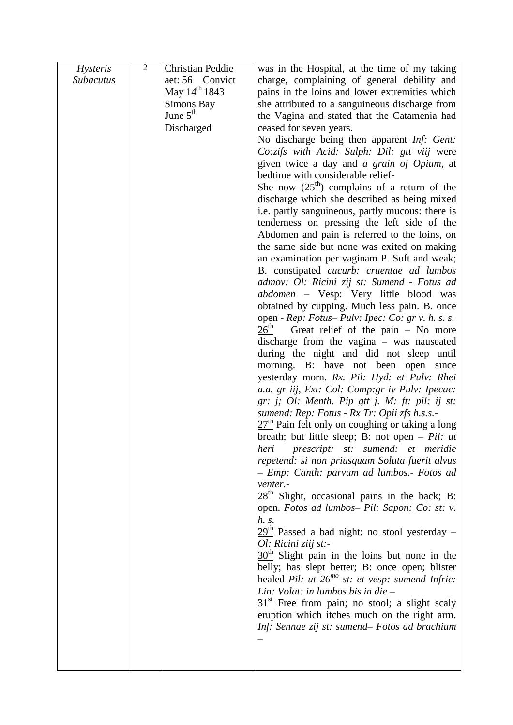| <i>Hysteris</i>  | $\overline{2}$ | Christian Peddie          | was in the Hospital, at the time of my taking                                                    |
|------------------|----------------|---------------------------|--------------------------------------------------------------------------------------------------|
| <b>Subacutus</b> |                | aet: 56 Convict           | charge, complaining of general debility and                                                      |
|                  |                | May 14 <sup>th</sup> 1843 | pains in the loins and lower extremities which                                                   |
|                  |                | Simons Bay                | she attributed to a sanguineous discharge from                                                   |
|                  |                | June $5th$                | the Vagina and stated that the Catamenia had                                                     |
|                  |                | Discharged                | ceased for seven years.                                                                          |
|                  |                |                           | No discharge being then apparent Inf: Gent:                                                      |
|                  |                |                           | Co:zifs with Acid: Sulph: Dil: gtt viij were                                                     |
|                  |                |                           | given twice a day and a grain of Opium, at                                                       |
|                  |                |                           | bedtime with considerable relief-                                                                |
|                  |                |                           | She now $(25th)$ complains of a return of the                                                    |
|                  |                |                           | discharge which she described as being mixed                                                     |
|                  |                |                           | i.e. partly sanguineous, partly mucous: there is                                                 |
|                  |                |                           | tenderness on pressing the left side of the<br>Abdomen and pain is referred to the loins, on     |
|                  |                |                           | the same side but none was exited on making                                                      |
|                  |                |                           | an examination per vaginam P. Soft and weak;                                                     |
|                  |                |                           | B. constipated <i>cucurb</i> : <i>cruentae ad lumbos</i>                                         |
|                  |                |                           | admov: Ol: Ricini zij st: Sumend - Fotus ad                                                      |
|                  |                |                           | abdomen – Vesp: Very little blood was                                                            |
|                  |                |                           | obtained by cupping. Much less pain. B. once                                                     |
|                  |                |                           | open - Rep: Fotus-Pulv: Ipec: Co: gr v. h. s. s.                                                 |
|                  |                |                           | 26 <sup>th</sup><br>Great relief of the pain $-$ No more                                         |
|                  |                |                           | discharge from the vagina $-$ was nauseated                                                      |
|                  |                |                           | during the night and did not sleep until                                                         |
|                  |                |                           | morning. B: have not been open since<br>yesterday morn. Rx. Pil: Hyd: et Pulv: Rhei              |
|                  |                |                           | a.a. gr iij, Ext: Col: Comp:gr iv Pulv: Ipecac:                                                  |
|                  |                |                           | gr: j; Ol: Menth. Pip gtt j. M: ft: pil: ij st:                                                  |
|                  |                |                           | sumend: Rep: Fotus - Rx Tr: Opii zfs h.s.s.-                                                     |
|                  |                |                           | $27th$ Pain felt only on coughing or taking a long                                               |
|                  |                |                           | breath; but little sleep; B: not open $- Pil$ : ut                                               |
|                  |                |                           | heri prescript: st: sumend: et meridie                                                           |
|                  |                |                           | repetend: si non priusquam Soluta fuerit alvus                                                   |
|                  |                |                           | - Emp: Canth: parvum ad lumbos.- Fotos ad                                                        |
|                  |                |                           | venter.-                                                                                         |
|                  |                |                           | $28th$ Slight, occasional pains in the back; B:<br>open. Fotos ad lumbos- Pil: Sapon: Co: st: v. |
|                  |                |                           | h. s.                                                                                            |
|                  |                |                           | $29th$ Passed a bad night; no stool yesterday –                                                  |
|                  |                |                           | Ol: Ricini ziij st:-                                                                             |
|                  |                |                           | $30th$ Slight pain in the loins but none in the                                                  |
|                  |                |                           | belly; has slept better; B: once open; blister                                                   |
|                  |                |                           | healed Pil: ut $26^{mo}$ st: et vesp: sumend Infric:                                             |
|                  |                |                           | Lin: Volat: in lumbos bis in die $-$                                                             |
|                  |                |                           | $31st$ Free from pain; no stool; a slight scaly                                                  |
|                  |                |                           | eruption which itches much on the right arm.                                                     |
|                  |                |                           | Inf: Sennae zij st: sumend– Fotos ad brachium                                                    |
|                  |                |                           |                                                                                                  |
|                  |                |                           |                                                                                                  |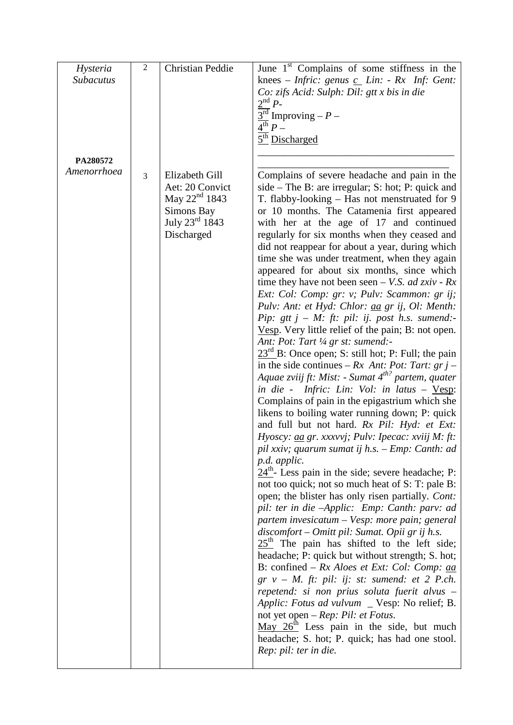| Hysteria         | 2 | <b>Christian Peddie</b> | June 1 <sup>st</sup> Complains of some stiffness in the                          |
|------------------|---|-------------------------|----------------------------------------------------------------------------------|
|                  |   |                         |                                                                                  |
| <b>Subacutus</b> |   |                         | knees – <i>Infric</i> : genus $c_L$ <i>Lin</i> : - Rx <i>Inf</i> : <i>Gent</i> : |
|                  |   |                         | Co: zifs Acid: Sulph: Dil: gtt x bis in die                                      |
|                  |   |                         | $2^{nd}P$ -                                                                      |
|                  |   |                         | $\frac{3^{rd}}{3^{rd}}$ Improving – P –                                          |
|                  |   |                         | $\overline{4^{th}} P -$                                                          |
|                  |   |                         | 5 <sup>th</sup> Discharged                                                       |
|                  |   |                         |                                                                                  |
| PA280572         |   |                         |                                                                                  |
| Amenorrhoea      | 3 | Elizabeth Gill          | Complains of severe headache and pain in the                                     |
|                  |   | Aet: 20 Convict         | $side$ – The B: are irregular; S: hot; P: quick and                              |
|                  |   | May $22^{nd}$ 1843      | T. flabby-looking – Has not menstruated for 9                                    |
|                  |   | Simons Bay              | or 10 months. The Catamenia first appeared                                       |
|                  |   | July 23rd 1843          | with her at the age of 17 and continued                                          |
|                  |   | Discharged              | regularly for six months when they ceased and                                    |
|                  |   |                         | did not reappear for about a year, during which                                  |
|                  |   |                         | time she was under treatment, when they again                                    |
|                  |   |                         | appeared for about six months, since which                                       |
|                  |   |                         | time they have not been seen – V.S. ad zxiv - $Rx$                               |
|                  |   |                         | Ext: Col: Comp: gr: v; Pulv: Scammon: gr ij;                                     |
|                  |   |                         | Pulv: Ant: et Hyd: Chlor: aa gr ij, Ol: Menth:                                   |
|                  |   |                         | Pip: gtt $j - M$ : ft: pil: ij. post h.s. sumend:-                               |
|                  |   |                         | Vesp. Very little relief of the pain; B: not open.                               |
|                  |   |                         | Ant: Pot: Tart 1/4 gr st: sumend:-                                               |
|                  |   |                         | $23rd$ B: Once open; S: still hot; P: Full; the pain                             |
|                  |   |                         | in the side continues – Rx Ant: Pot: Tart: $grj$ –                               |
|                  |   |                         | Aquae zviij ft: Mist: - Sumat 4 <sup>th?</sup> partem, quater                    |
|                  |   |                         | in die - Infric: Lin: Vol: in latus - $Vesp$ :                                   |
|                  |   |                         | Complains of pain in the epigastrium which she                                   |
|                  |   |                         | likens to boiling water running down; P: quick                                   |
|                  |   |                         | and full but not hard. Rx Pil: Hyd: et Ext:                                      |
|                  |   |                         | Hyoscy: aa gr. xxxvvj; Pulv: Ipecac: xviij M: ft:                                |
|                  |   |                         | pil xxiv; quarum sumat ij h.s. – Emp: Canth: ad                                  |
|                  |   |                         | p.d. applic.                                                                     |
|                  |   |                         | $24th$ - Less pain in the side; severe headache; P:                              |
|                  |   |                         | not too quick; not so much heat of S: T: pale B:                                 |
|                  |   |                         | open; the blister has only risen partially. Cont:                                |
|                  |   |                         | pil: ter in die -Applic: Emp: Canth: parv: ad                                    |
|                  |   |                         | partem invesicatum – Vesp: more pain; general                                    |
|                  |   |                         | discomfort – Omitt pil: Sumat. Opii gr ij h.s.                                   |
|                  |   |                         | $25th$ The pain has shifted to the left side;                                    |
|                  |   |                         | headache; P: quick but without strength; S. hot;                                 |
|                  |   |                         | B: confined – $Rx$ Aloes et Ext: Col: Comp: <u>aa</u>                            |
|                  |   |                         | $gr v - M$ . ft: pil: ij: st: sumend: et 2 P.ch.                                 |
|                  |   |                         | repetend: si non prius soluta fuerit alvus -                                     |
|                  |   |                         | Applic: Fotus ad vulvum _ Vesp: No relief; B.                                    |
|                  |   |                         | not yet open – $Rep: Pil: et Fotus.$                                             |
|                  |   |                         | May $26th$ Less pain in the side, but much                                       |
|                  |   |                         | headache; S. hot; P. quick; has had one stool.                                   |
|                  |   |                         |                                                                                  |
|                  |   |                         | Rep: pil: ter in die.                                                            |
|                  |   |                         |                                                                                  |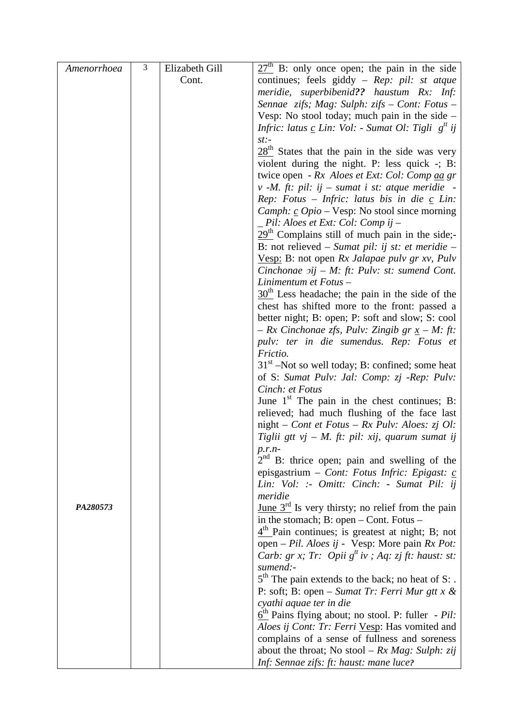| Amenorrhoea | $\overline{3}$ | Elizabeth Gill | $27th$ B: only once open; the pain in the side                                                    |
|-------------|----------------|----------------|---------------------------------------------------------------------------------------------------|
|             |                | Cont.          | continues; feels giddy - Rep: pil: st atque                                                       |
|             |                |                | meridie, superbibenid?? haustum Rx: Inf:                                                          |
|             |                |                | Sennae zifs; Mag: Sulph: zifs - Cont: Fotus -                                                     |
|             |                |                | Vesp: No stool today; much pain in the side $-$                                                   |
|             |                |                | Infric: latus $\underline{c}$ Lin: Vol: - Sumat Ol: Tigli $g^{tt}$ ij                             |
|             |                |                | $st$ :-                                                                                           |
|             |                |                | $28th$ States that the pain in the side was very                                                  |
|             |                |                | violent during the night. P: less quick -; B:                                                     |
|             |                |                | twice open - Rx Aloes et Ext: Col: Comp aa gr                                                     |
|             |                |                | $v$ -M, ft: pil: ij – sumat i st: atque meridie –                                                 |
|             |                |                | Rep: Fotus – Infric: latus bis in die $\underline{c}$ Lin:                                        |
|             |                |                | <i>Camph:</i> $\underline{c}$ <i>Opio</i> – Vesp: No stool since morning                          |
|             |                |                | _ Pil: Aloes et Ext: Col: Comp ij –                                                               |
|             |                |                | $29th$ Complains still of much pain in the side;-                                                 |
|             |                |                | B: not relieved – Sumat pil: ij st: et meridie –                                                  |
|             |                |                | Vesp: B: not open $Rx$ Jalapae pulv gr xv, Pulv                                                   |
|             |                |                | Cinchonae $\pi$ ij – M: ft: Pulv: st: sumend Cont.<br>Linimentum et Fotus -                       |
|             |                |                | $30th$ Less headache; the pain in the side of the                                                 |
|             |                |                | chest has shifted more to the front: passed a                                                     |
|             |                |                | better night; B: open; P: soft and slow; S: cool                                                  |
|             |                |                | $-Rx$ Cinchonae zfs, Pulv: Zingib gr $x - M$ : ft:                                                |
|             |                |                | pulv: ter in die sumendus. Rep: Fotus et                                                          |
|             |                |                | Frictio.                                                                                          |
|             |                |                | $31st$ –Not so well today; B: confined; some heat                                                 |
|             |                |                | of S: Sumat Pulv: Jal: Comp: zj -Rep: Pulv:                                                       |
|             |                |                | Cinch: et Fotus                                                                                   |
|             |                |                | June $1st$ The pain in the chest continues; B:                                                    |
|             |                |                | relieved; had much flushing of the face last                                                      |
|             |                |                | night - Cont et Fotus - Rx Pulv: Aloes: zj Ol:                                                    |
|             |                |                | Tiglii gtt vj – M. ft: pil: xij, quarum sumat ij                                                  |
|             |                |                | $p.r.n-$                                                                                          |
|             |                |                | $2nd$ B: thrice open; pain and swelling of the                                                    |
|             |                |                | episgastrium - Cont: Fotus Infric: Epigast: c                                                     |
|             |                |                | Lin: Vol: :- Omitt: Cinch: - Sumat Pil: ij                                                        |
| PA280573    |                |                | meridie                                                                                           |
|             |                |                | <u>June</u> $3^{rd}$ Is very thirsty; no relief from the pain                                     |
|             |                |                | in the stomach; $B: open - Cont.$ Fotus $-$<br>$4th$ Pain continues; is greatest at night; B; not |
|             |                |                | open – Pil. Aloes ij - Vesp: More pain $Rx$ Pot:                                                  |
|             |                |                | <i>Carb: gr x; Tr: Opii</i> $g^t$ <i>iv ; Aq: zj ft: haust: st:</i>                               |
|             |                |                | sumend:-                                                                                          |
|             |                |                | $5th$ The pain extends to the back; no heat of S:.                                                |
|             |                |                | P: soft; B: open – Sumat Tr: Ferri Mur gtt x &                                                    |
|             |                |                | cyathi aquae ter in die                                                                           |
|             |                |                | $\underline{6}^{\text{th}}$ Pains flying about; no stool. P: fuller - Pil:                        |
|             |                |                | Aloes ij Cont: Tr: Ferri Vesp: Has vomited and                                                    |
|             |                |                | complains of a sense of fullness and soreness                                                     |
|             |                |                | about the throat; No stool – $Rx$ Mag: Sulph: zij                                                 |
|             |                |                | Inf: Sennae zifs: ft: haust: mane luce?                                                           |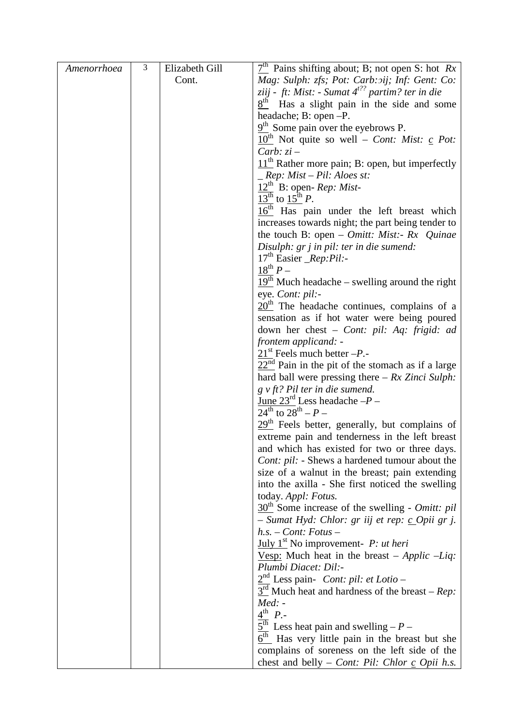| Amenorrhoea | $\mathfrak{Z}$ | Elizabeth Gill | $7th$ Pains shifting about; B; not open S: hot Rx                           |
|-------------|----------------|----------------|-----------------------------------------------------------------------------|
|             |                | Cont.          | Mag: Sulph: zfs; Pot: Carb: oij; Inf: Gent: Co:                             |
|             |                |                | ziij - ft: Mist: - Sumat $4^{t^2}$ partim? ter in die                       |
|             |                |                | $8th$ Has a slight pain in the side and some                                |
|             |                |                | headache; B: open -P.                                                       |
|             |                |                | $9th$ Some pain over the eyebrows P.                                        |
|             |                |                | $10^{\text{th}}$ Not quite so well – <i>Cont: Mist:</i> <u>c</u> Pot:       |
|             |                |                | Carb: $zi$ –                                                                |
|             |                |                | $11th$ Rather more pain; B: open, but imperfectly                           |
|             |                |                | $\mathcal{L}$ Rep: Mist – Pil: Aloes st:                                    |
|             |                |                | $12th$ B: open- <i>Rep</i> : <i>Mist</i> -                                  |
|             |                |                | $13^{th}$ to $15^{th}$ P.                                                   |
|             |                |                | $16th$ Has pain under the left breast which                                 |
|             |                |                | increases towards night; the part being tender to                           |
|             |                |                | the touch B: open – <i>Omitt: Mist:</i> - $Rx$ <i>Quinae</i>                |
|             |                |                | Disulph: gr j in pil: ter in die sumend:                                    |
|             |                |                | $17th$ Easier _Rep:Pil:-                                                    |
|             |                |                | $18^{th} P -$                                                               |
|             |                |                | $19th$ Much headache – swelling around the right                            |
|             |                |                | eye. Cont: pil:-                                                            |
|             |                |                | $20th$ The headache continues, complains of a                               |
|             |                |                | sensation as if hot water were being poured                                 |
|             |                |                | down her chest - Cont: pil: Aq: frigid: ad                                  |
|             |                |                | frontem applicand: -<br>$21st$ Feels much better $-P$ .                     |
|             |                |                | $22nd$ Pain in the pit of the stomach as if a large                         |
|             |                |                | hard ball were pressing there $-Rx$ Zinci Sulph:                            |
|             |                |                | $g \, v \, ft$ ? Pil ter in die sumend.                                     |
|             |                |                | <u>June 23<sup>rd</sup></u> Less headache $-P-$                             |
|             |                |                | $24^{\text{th}}$ to $28^{\text{th}} - P -$                                  |
|             |                |                | $29th$ Feels better, generally, but complains of                            |
|             |                |                | extreme pain and tenderness in the left breast                              |
|             |                |                | and which has existed for two or three days.                                |
|             |                |                | Cont: pil: - Shews a hardened tumour about the                              |
|             |                |                | size of a walnut in the breast; pain extending                              |
|             |                |                | into the axilla - She first noticed the swelling                            |
|             |                |                | today. Appl: Fotus.                                                         |
|             |                |                | $30th$ Some increase of the swelling - <i>Omitt: pil</i>                    |
|             |                |                | – Sumat Hyd: Chlor: gr iij et rep: <u>c</u> Opii gr j.                      |
|             |                |                | $h.s.$ – Cont: Fotus –                                                      |
|             |                |                | $\underline{July 1st}$ No improvement- <i>P: ut heri</i>                    |
|             |                |                | <u>Vesp:</u> Much heat in the breast – Applic –Liq:                         |
|             |                |                | Plumbi Diacet: Dil:-                                                        |
|             |                |                | $2nd$ Less pain- <i>Cont: pil: et Lotio</i> –                               |
|             |                |                | $3rd$ Much heat and hardness of the breast – <i>Rep</i> :<br>$Med: -$       |
|             |                |                | $4^{th}$ $P_{\cdot}$                                                        |
|             |                |                | $\underline{5}^{\text{th}}$ Less heat pain and swelling – P –               |
|             |                |                | $\overline{6^{th}}$ Has very little pain in the breast but she              |
|             |                |                | complains of soreness on the left side of the                               |
|             |                |                | chest and belly – <i>Cont: Pil: Chlor <math>\mathbf{c}</math> Opii h.s.</i> |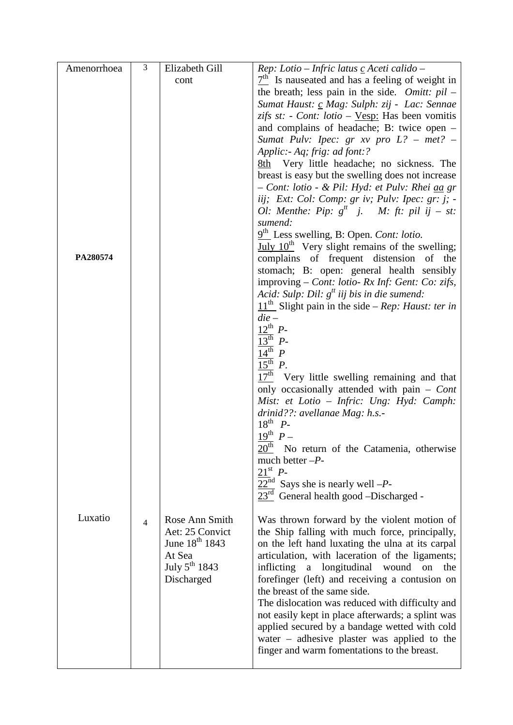| Amenorrhoea | 3              | Elizabeth Gill             | Rep: Lotio - Infric latus $c$ Aceti calido -                                                         |
|-------------|----------------|----------------------------|------------------------------------------------------------------------------------------------------|
|             |                | cont                       | $7th$ Is nauseated and has a feeling of weight in                                                    |
|             |                |                            | the breath; less pain in the side. Omitt: $pil -$                                                    |
|             |                |                            | Sumat Haust: c Mag: Sulph: zij - Lac: Sennae                                                         |
|             |                |                            | zifs st: - Cont: lotio – <u>Vesp:</u> Has been vomitis                                               |
|             |                |                            | and complains of headache; B: twice open $-$                                                         |
|             |                |                            | Sumat Pulv: Ipec: $gr$ xv pro $L$ ? – met? –                                                         |
|             |                |                            | Applic:- Aq; frig: ad font:?                                                                         |
|             |                |                            | 8th Very little headache; no sickness. The                                                           |
|             |                |                            | breast is easy but the swelling does not increase                                                    |
|             |                |                            | - Cont: lotio - & Pil: Hyd: et Pulv: Rhei aa gr                                                      |
|             |                |                            | iij; Ext: Col: Comp: gr iv; Pulv: Ipec: gr: j; -                                                     |
|             |                |                            | Ol: Menthe: Pip: $g^{tt}$ j. M: ft: pil ij - st:                                                     |
|             |                |                            | sumend:                                                                                              |
|             |                |                            | $9th$ Less swelling, B: Open. Cont: lotio.                                                           |
|             |                |                            | July 10 <sup>th</sup> Very slight remains of the swelling;                                           |
| PA280574    |                |                            | complains of frequent distension of the                                                              |
|             |                |                            | stomach; B: open: general health sensibly                                                            |
|             |                |                            | improving – Cont: lotio- Rx Inf: Gent: Co: zifs,                                                     |
|             |                |                            | Acid: Sulp: Dil: $g^{t}$ iij bis in die sumend:                                                      |
|             |                |                            | $11th$ Slight pain in the side – Rep: Haust: ter in<br>$die-$                                        |
|             |                |                            | $12^{th}$ $P$ -                                                                                      |
|             |                |                            | $13^{\text{th}}$ $P$ -                                                                               |
|             |                |                            | $\frac{14^{\text{th}}}{\text{ }14^{\text{}}\text{ }P}$                                               |
|             |                |                            | $15^{\text{th}}$ $P$ .                                                                               |
|             |                |                            | $17th$ Very little swelling remaining and that                                                       |
|             |                |                            | only occasionally attended with pain - Cont                                                          |
|             |                |                            | Mist: et Lotio - Infric: Ung: Hyd: Camph:                                                            |
|             |                |                            | drinid??: avellanae Mag: h.s.-                                                                       |
|             |                |                            | $18^{th}$ $P$ -                                                                                      |
|             |                |                            | $19^{th}$ $P-$                                                                                       |
|             |                |                            | 20 <sup>th</sup><br>No return of the Catamenia, otherwise                                            |
|             |                |                            | much better $-P$ -                                                                                   |
|             |                |                            | $21^{\rm st}$ P-                                                                                     |
|             |                |                            | $22nd$ Says she is nearly well -P-                                                                   |
|             |                |                            | $23rd$ General health good -Discharged -                                                             |
|             |                |                            |                                                                                                      |
| Luxatio     | $\overline{4}$ | Rose Ann Smith             | Was thrown forward by the violent motion of                                                          |
|             |                | Aet: 25 Convict            | the Ship falling with much force, principally,                                                       |
|             |                | June 18 <sup>th</sup> 1843 | on the left hand luxating the ulna at its carpal                                                     |
|             |                | At Sea                     | articulation, with laceration of the ligaments;                                                      |
|             |                | July $5^{\text{th}}$ 1843  | inflicting<br>a longitudinal wound on<br>the                                                         |
|             |                | Discharged                 | forefinger (left) and receiving a contusion on                                                       |
|             |                |                            | the breast of the same side.                                                                         |
|             |                |                            | The dislocation was reduced with difficulty and<br>not easily kept in place afterwards; a splint was |
|             |                |                            | applied secured by a bandage wetted with cold                                                        |
|             |                |                            | water – adhesive plaster was applied to the                                                          |
|             |                |                            | finger and warm fomentations to the breast.                                                          |
|             |                |                            |                                                                                                      |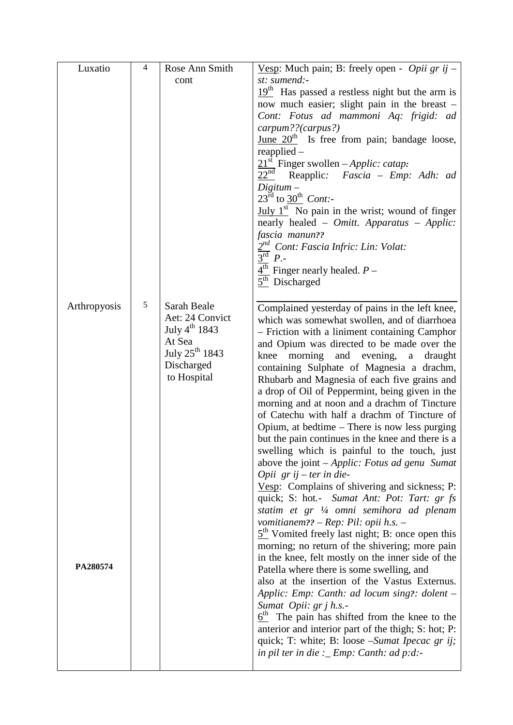| Luxatio      | $\overline{4}$ | Rose Ann Smith                       | Vesp: Much pain; B: freely open - Opii gr ij -                                                     |
|--------------|----------------|--------------------------------------|----------------------------------------------------------------------------------------------------|
|              |                | cont                                 | st: sumend:-                                                                                       |
|              |                |                                      | $19th$ Has passed a restless night but the arm is                                                  |
|              |                |                                      | now much easier; slight pain in the breast -<br>Cont: Fotus ad mammoni Aq: frigid: ad              |
|              |                |                                      | carpum??(carpus?)                                                                                  |
|              |                |                                      | June $20th$ Is free from pain; bandage loose,                                                      |
|              |                |                                      | reapplied                                                                                          |
|              |                |                                      | $21st$ Finger swollen – <i>Applic: catap</i> :                                                     |
|              |                |                                      | 22 <sup>nd</sup><br>Reapplic: <i>Fascia – Emp: Adh: ad</i>                                         |
|              |                |                                      | $Digitum -$<br>$23^{\text{rd}}$ to $30^{\text{th}}$ Cont:-                                         |
|              |                |                                      | $\underline{July 1st}$ No pain in the wrist; wound of finger                                       |
|              |                |                                      | nearly healed - Omitt. Apparatus - Applic:                                                         |
|              |                |                                      | fascia manun??                                                                                     |
|              |                |                                      | 2 <sup>nd</sup> Cont: Fascia Infric: Lin: Volat:                                                   |
|              |                |                                      | 3 <sup>rd</sup><br>$P$ .                                                                           |
|              |                |                                      | $4th$ Finger nearly healed. $P-$<br>$5th$ Discharged                                               |
|              |                |                                      |                                                                                                    |
| Arthropyosis | 5              | Sarah Beale                          | Complained yesterday of pains in the left knee,                                                    |
|              |                | Aet: 24 Convict                      | which was somewhat swollen, and of diarrhoea                                                       |
|              |                | July $4^{th}$ 1843                   | - Friction with a liniment containing Camphor                                                      |
|              |                | At Sea<br>July 25 <sup>th</sup> 1843 | and Opium was directed to be made over the                                                         |
|              |                | Discharged                           | morning<br>and evening, a<br>knee<br>draught<br>containing Sulphate of Magnesia a drachm,          |
|              |                | to Hospital                          | Rhubarb and Magnesia of each five grains and                                                       |
|              |                |                                      | a drop of Oil of Peppermint, being given in the                                                    |
|              |                |                                      | morning and at noon and a drachm of Tincture                                                       |
|              |                |                                      | of Catechu with half a drachm of Tincture of                                                       |
|              |                |                                      | Opium, at bedtime – There is now less purging<br>but the pain continues in the knee and there is a |
|              |                |                                      | swelling which is painful to the touch, just                                                       |
|              |                |                                      | above the joint - Applic: Fotus ad genu Sumat                                                      |
|              |                |                                      | Opii $gr$ ij – ter in die-                                                                         |
|              |                |                                      | Vesp: Complains of shivering and sickness; P:                                                      |
|              |                |                                      | quick; S: hot.- Sumat Ant: Pot: Tart: gr fs                                                        |
|              |                |                                      | statim et gr 1/4 omni semihora ad plenam<br>vomitianem?? – Rep: Pil: opii h.s. –                   |
|              |                |                                      | $5th$ Vomited freely last night; B: once open this                                                 |
|              |                |                                      | morning; no return of the shivering; more pain                                                     |
|              |                |                                      | in the knee, felt mostly on the inner side of the                                                  |
| PA280574     |                |                                      | Patella where there is some swelling, and                                                          |
|              |                |                                      | also at the insertion of the Vastus Externus.<br>Applic: Emp: Canth: ad locum sing?: dolent -      |
|              |                |                                      | Sumat Opii: gr j h.s.-                                                                             |
|              |                |                                      | $6th$ The pain has shifted from the knee to the                                                    |
|              |                |                                      | anterior and interior part of the thigh; S: hot; P:                                                |
|              |                |                                      | quick; T: white; B: loose – Sumat Ipecac gr ij;                                                    |
|              |                |                                      | in pil ter in die : _ Emp: Canth: ad p:d:-                                                         |
|              |                |                                      |                                                                                                    |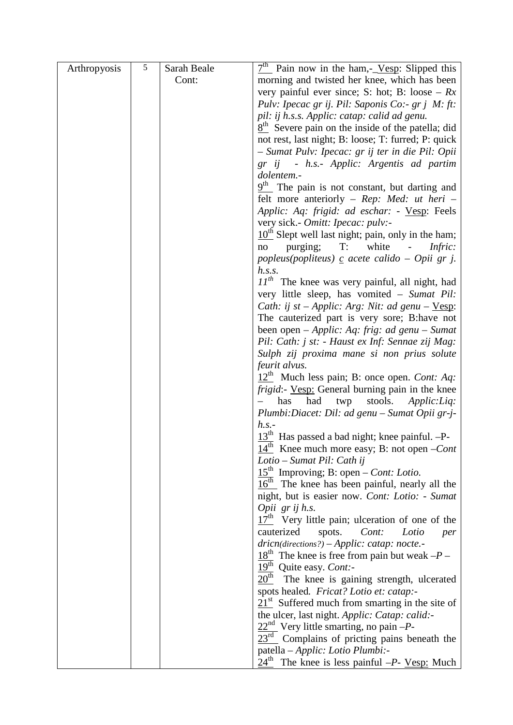| Arthropyosis | $\overline{5}$ | Sarah Beale | $7th$ Pain now in the ham,- Vesp: Slipped this                                                        |
|--------------|----------------|-------------|-------------------------------------------------------------------------------------------------------|
|              |                | Cont:       | morning and twisted her knee, which has been                                                          |
|              |                |             | very painful ever since; S: hot; B: loose – $Rx$                                                      |
|              |                |             | Pulv: Ipecac gr ij. Pil: Saponis Co:- gr j M: ft:                                                     |
|              |                |             | pil: ij h.s.s. Applic: catap: calid ad genu.                                                          |
|              |                |             | $8th$ Severe pain on the inside of the patella; did                                                   |
|              |                |             | not rest, last night; B: loose; T: furred; P: quick                                                   |
|              |                |             | - Sumat Pulv: Ipecac: gr ij ter in die Pil: Opii                                                      |
|              |                |             | gr ij - h.s.- Applic: Argentis ad partim                                                              |
|              |                |             | dolentem.-                                                                                            |
|              |                |             | $9th$ The pain is not constant, but darting and                                                       |
|              |                |             | felt more anteriorly – Rep: Med: ut heri –                                                            |
|              |                |             | Applic: Aq: frigid: ad eschar: - Vesp: Feels                                                          |
|              |                |             | very sick.- Omitt: Ipecac: pulv:-                                                                     |
|              |                |             | $10th$ Slept well last night; pain, only in the ham;                                                  |
|              |                |             | purging; T: white - <i>Infric:</i><br>no                                                              |
|              |                |             | popleus(popliteus) $\mathbf c$ acete calido – Opii gr j.                                              |
|              |                |             | h.s.s.                                                                                                |
|              |                |             | $IIth$ The knee was very painful, all night, had                                                      |
|              |                |             | very little sleep, has vomited - Sumat Pil:<br><i>Cath: ij st – Applic: Arg: Nit: ad genu – Vesp:</i> |
|              |                |             | The cauterized part is very sore; B:have not                                                          |
|              |                |             | been open – Applic: Aq: frig: ad genu – Sumat                                                         |
|              |                |             | Pil: Cath: j st: - Haust ex Inf: Sennae zij Mag:                                                      |
|              |                |             | Sulph zij proxima mane si non prius solute                                                            |
|              |                |             | feurit alvus.                                                                                         |
|              |                |             | $12th$ Much less pain; B: once open. <i>Cont: Aq:</i>                                                 |
|              |                |             | frigid:- Vesp: General burning pain in the knee                                                       |
|              |                |             | twp stools.<br>has<br>had<br>Applic: Liq:                                                             |
|              |                |             | Plumbi:Diacet: Dil: ad genu - Sumat Opii gr-j-                                                        |
|              |                |             | h.s.                                                                                                  |
|              |                |             | $13th$ Has passed a bad night; knee painful. -P-                                                      |
|              |                |             | $\frac{14^{th}}{14^{th}}$ Knee much more easy; B: not open – <i>Cont</i>                              |
|              |                |             | Lotio – Sumat Pil: Cath ij                                                                            |
|              |                |             | $15th$ Improving; B: open – <i>Cont: Lotio</i> .                                                      |
|              |                |             | $16th$ The knee has been painful, nearly all the                                                      |
|              |                |             | night, but is easier now. Cont: Lotio: - Sumat                                                        |
|              |                |             | Opii grijh.s.                                                                                         |
|              |                |             | $17th$ Very little pain; ulceration of one of the                                                     |
|              |                |             | cauterized<br>spots.<br>Cont:<br>Lotio<br>per                                                         |
|              |                |             | $dricn(directions?) - Applic: catap: note. -$<br>$18th$ The knee is free from pain but weak $-P-$     |
|              |                |             | 19 <sup>th</sup> Quite easy. Cont:-                                                                   |
|              |                |             | $20^{\text{th}}$<br>The knee is gaining strength, ulcerated                                           |
|              |                |             | spots healed. Fricat? Lotio et: catap:-                                                               |
|              |                |             | $21st$ Suffered much from smarting in the site of                                                     |
|              |                |             | the ulcer, last night. Applic: Catap: calid:-                                                         |
|              |                |             | $22nd$ Very little smarting, no pain -P-                                                              |
|              |                |             | $23rd$ Complains of pricting pains beneath the                                                        |
|              |                |             | patella – Applic: Lotio Plumbi:-                                                                      |
|              |                |             | $24^{\text{th}}$ The knee is less painful $-P$ - <u>Vesp:</u> Much                                    |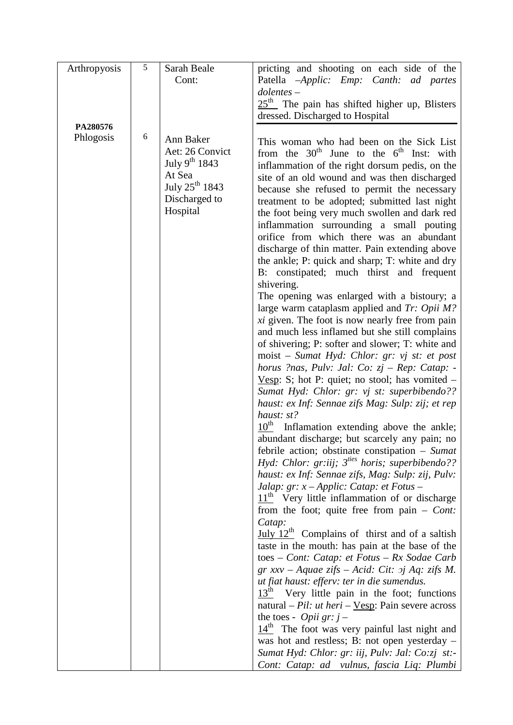| Arthropyosis | $\sqrt{5}$ | Sarah Beale                | pricting and shooting on each side of the                                                      |
|--------------|------------|----------------------------|------------------------------------------------------------------------------------------------|
|              |            | Cont:                      | Patella -Applic: Emp: Canth: ad partes                                                         |
|              |            |                            | $dolentes -$                                                                                   |
|              |            |                            | $25th$ The pain has shifted higher up, Blisters                                                |
|              |            |                            | dressed. Discharged to Hospital                                                                |
| PA280576     |            |                            |                                                                                                |
| Phlogosis    | 6          | Ann Baker                  | This woman who had been on the Sick List                                                       |
|              |            | Aet: 26 Convict            | from the $30th$ June to the $6th$ Inst: with                                                   |
|              |            | July 9 <sup>th</sup> 1843  | inflammation of the right dorsum pedis, on the                                                 |
|              |            | At Sea                     | site of an old wound and was then discharged                                                   |
|              |            | July 25 <sup>th</sup> 1843 | because she refused to permit the necessary                                                    |
|              |            | Discharged to              | treatment to be adopted; submitted last night                                                  |
|              |            | Hospital                   | the foot being very much swollen and dark red                                                  |
|              |            |                            | inflammation surrounding a small pouting                                                       |
|              |            |                            | orifice from which there was an abundant                                                       |
|              |            |                            | discharge of thin matter. Pain extending above                                                 |
|              |            |                            | the ankle; P: quick and sharp; T: white and dry                                                |
|              |            |                            | B: constipated; much thirst and frequent                                                       |
|              |            |                            | shivering.                                                                                     |
|              |            |                            | The opening was enlarged with a bistoury; a<br>large warm cataplasm applied and $Tr$ : Opii M? |
|              |            |                            | <i>xi</i> given. The foot is now nearly free from pain                                         |
|              |            |                            | and much less inflamed but she still complains                                                 |
|              |            |                            | of shivering; P: softer and slower; T: white and                                               |
|              |            |                            | moist – Sumat Hyd: Chlor: gr: vj st: et post                                                   |
|              |            |                            | horus ?nas, Pulv: Jal: Co: $zj$ – Rep: Catap: -                                                |
|              |            |                            | <u>Vesp</u> : S; hot P: quiet; no stool; has vomited $-$                                       |
|              |            |                            | Sumat Hyd: Chlor: gr: vj st: superbibendo??                                                    |
|              |            |                            | haust: ex Inf: Sennae zifs Mag: Sulp: zij; et rep                                              |
|              |            |                            | haust: st?                                                                                     |
|              |            |                            | $10th$ Inflamation extending above the ankle;                                                  |
|              |            |                            | abundant discharge; but scarcely any pain; no                                                  |
|              |            |                            | febrile action; obstinate constipation $-$ Sumat                                               |
|              |            |                            | Hyd: Chlor: gr:iij; 3 <sup>ties</sup> horis; superbibendo??                                    |
|              |            |                            | haust: ex Inf: Sennae zifs, Mag: Sulp: zij, Pulv:                                              |
|              |            |                            | Jalap: $gr: x - Applic: Catap: et Fotus -$<br>$11th$ Very little inflammation of or discharge  |
|              |            |                            | from the foot; quite free from pain $-$ Cont:                                                  |
|              |            |                            | Catap:                                                                                         |
|              |            |                            | July $12^{th}$ Complains of thirst and of a saltish                                            |
|              |            |                            | taste in the mouth: has pain at the base of the                                                |
|              |            |                            | toes – Cont: Catap: et Fotus – Rx Sodae Carb                                                   |
|              |            |                            | $gr$ xxv – Aquae zifs – Acid: Cit: $g$ j Aq: zifs M.                                           |
|              |            |                            | ut fiat haust: efferv: ter in die sumendus.                                                    |
|              |            |                            | $13th$ Very little pain in the foot; functions                                                 |
|              |            |                            | natural – Pil: ut heri – <u>Vesp</u> : Pain severe across                                      |
|              |            |                            | the toes - Opii gr: $j$ –                                                                      |
|              |            |                            | $14th$ The foot was very painful last night and                                                |
|              |            |                            | was hot and restless; B: not open yesterday -                                                  |
|              |            |                            | Sumat Hyd: Chlor: gr: iij, Pulv: Jal: Co:zj st:-                                               |
|              |            |                            | Cont: Catap: ad vulnus, fascia Liq: Plumbi                                                     |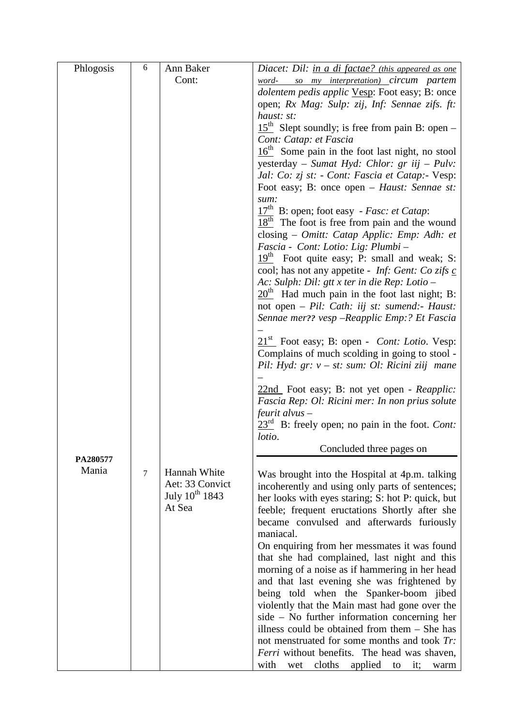| Phlogosis | 6      | Ann Baker                            | Diacet: Dil: in a di factae? (this appeared as one                                                |
|-----------|--------|--------------------------------------|---------------------------------------------------------------------------------------------------|
|           |        | Cont:                                | word- so my interpretation) circum partem                                                         |
|           |        |                                      | dolentem pedis applic Vesp: Foot easy; B: once                                                    |
|           |        |                                      | open; Rx Mag: Sulp: zij, Inf: Sennae zifs. ft:                                                    |
|           |        |                                      | haust: st:                                                                                        |
|           |        |                                      | $15th$ Slept soundly; is free from pain B: open –                                                 |
|           |        |                                      | Cont: Catap: et Fascia                                                                            |
|           |        |                                      | $16th$ Some pain in the foot last night, no stool<br>yesterday - Sumat Hyd: Chlor: gr iij - Pulv: |
|           |        |                                      | Jal: Co: zj st: - Cont: Fascia et Catap:- Vesp:                                                   |
|           |        |                                      | Foot easy; B: once open – Haust: Sennae st:                                                       |
|           |        |                                      | sum:                                                                                              |
|           |        |                                      | $17th$ B: open; foot easy - Fasc: et Catap:                                                       |
|           |        |                                      | $18th$ The foot is free from pain and the wound                                                   |
|           |        |                                      | closing - Omitt: Catap Applic: Emp: Adh: et                                                       |
|           |        |                                      | Fascia - Cont: Lotio: Lig: Plumbi -                                                               |
|           |        |                                      | $19th$ Foot quite easy; P: small and weak; S:                                                     |
|           |        |                                      | cool; has not any appetite - <i>Inf: Gent: Co zifs c</i>                                          |
|           |        |                                      | Ac: Sulph: Dil: gtt x ter in die Rep: Lotio -<br>$20th$ Had much pain in the foot last night; B:  |
|           |        |                                      | not open - Pil: Cath: iij st: sumend:- Haust:                                                     |
|           |        |                                      | Sennae mer?? vesp -Reapplic Emp:? Et Fascia                                                       |
|           |        |                                      |                                                                                                   |
|           |        |                                      | $21st$ Foot easy; B: open - <i>Cont: Lotio</i> . Vesp:                                            |
|           |        |                                      | Complains of much scolding in going to stool -                                                    |
|           |        |                                      | Pil: Hyd: $gr: v - st: sum: Ol: Ricini ziij$ mane                                                 |
|           |        |                                      |                                                                                                   |
|           |        |                                      | 22nd Foot easy; B: not yet open - Reapplic:<br>Fascia Rep: Ol: Ricini mer: In non prius solute    |
|           |        |                                      | $f$ eurit alvus –                                                                                 |
|           |        |                                      | $23rd$ B: freely open; no pain in the foot. <i>Cont</i> :                                         |
|           |        |                                      | lotio.                                                                                            |
|           |        |                                      | Concluded three pages on                                                                          |
| PA280577  |        |                                      |                                                                                                   |
| Mania     | $\tau$ | Hannah White                         | Was brought into the Hospital at 4p.m. talking                                                    |
|           |        | Aet: 33 Convict                      | incoherently and using only parts of sentences;                                                   |
|           |        | July 10 <sup>th</sup> 1843<br>At Sea | her looks with eyes staring; S: hot P: quick, but                                                 |
|           |        |                                      | feeble; frequent eructations Shortly after she<br>became convulsed and afterwards furiously       |
|           |        |                                      | maniacal.                                                                                         |
|           |        |                                      | On enquiring from her messmates it was found                                                      |
|           |        |                                      | that she had complained, last night and this                                                      |
|           |        |                                      | morning of a noise as if hammering in her head                                                    |
|           |        |                                      | and that last evening she was frightened by                                                       |
|           |        |                                      | being told when the Spanker-boom jibed                                                            |
|           |        |                                      | violently that the Main mast had gone over the                                                    |
|           |        |                                      | side - No further information concerning her                                                      |
|           |        |                                      | illness could be obtained from them $-$ She has                                                   |
|           |        |                                      | not menstruated for some months and took Tr:                                                      |
|           |        |                                      | Ferri without benefits. The head was shaven,                                                      |
|           |        |                                      | with<br>cloths<br>applied<br>wet<br>to<br>it;<br>warm                                             |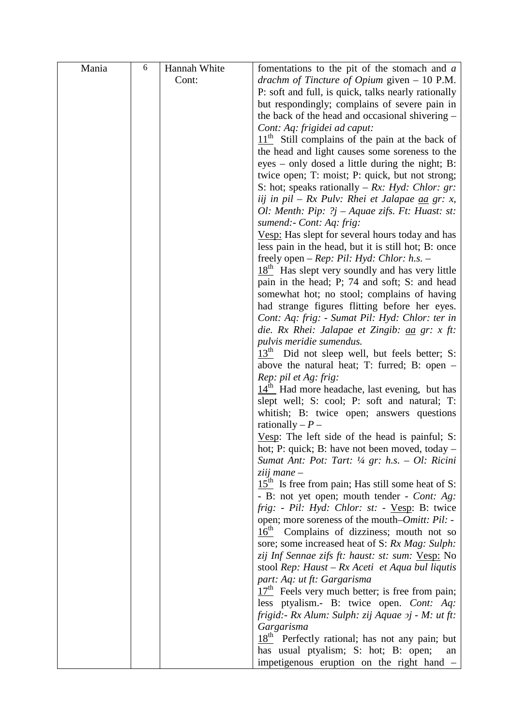| Mania | $\sqrt{6}$ | Hannah White | fomentations to the pit of the stomach and $a$                                                     |
|-------|------------|--------------|----------------------------------------------------------------------------------------------------|
|       |            | Cont:        | drachm of Tincture of Opium given $-10$ P.M.                                                       |
|       |            |              | P: soft and full, is quick, talks nearly rationally                                                |
|       |            |              | but respondingly; complains of severe pain in                                                      |
|       |            |              | the back of the head and occasional shivering –                                                    |
|       |            |              | Cont: Aq: frigidei ad caput:                                                                       |
|       |            |              | $11th$ Still complains of the pain at the back of                                                  |
|       |            |              | the head and light causes some soreness to the                                                     |
|       |            |              | eyes – only dosed a little during the night; B:                                                    |
|       |            |              | twice open; T: moist; P: quick, but not strong;                                                    |
|       |            |              | S: hot; speaks rationally – $Rx$ : Hyd: Chlor: gr:                                                 |
|       |            |              | iij in pil – Rx Pulv: Rhei et Jalapae aa gr: x,                                                    |
|       |            |              | Ol: Menth: Pip: ?j – Aquae zifs. Ft: Huast: st:                                                    |
|       |            |              | sumend:- Cont: Aq: frig:                                                                           |
|       |            |              | Vesp: Has slept for several hours today and has                                                    |
|       |            |              | less pain in the head, but it is still hot; B: once                                                |
|       |            |              | freely open – Rep: Pil: Hyd: Chlor: $h.s.$ –                                                       |
|       |            |              | $18th$ Has slept very soundly and has very little<br>pain in the head; P; 74 and soft; S: and head |
|       |            |              | somewhat hot; no stool; complains of having                                                        |
|       |            |              | had strange figures flitting before her eyes.                                                      |
|       |            |              | Cont: Aq: frig: - Sumat Pil: Hyd: Chlor: ter in                                                    |
|       |            |              | die. Rx Rhei: Jalapae et Zingib: <u>aa</u> gr: x ft:                                               |
|       |            |              | pulvis meridie sumendus.                                                                           |
|       |            |              | $13th$ Did not sleep well, but feels better; S:                                                    |
|       |            |              | above the natural heat; T: furred; B: open $-$                                                     |
|       |            |              | Rep: pil et Ag: frig:                                                                              |
|       |            |              | $14th$ Had more headache, last evening, but has                                                    |
|       |            |              | slept well; S: cool; P: soft and natural; T:                                                       |
|       |            |              | whitish; B: twice open; answers questions                                                          |
|       |            |              | rationally $-P-$                                                                                   |
|       |            |              | Vesp: The left side of the head is painful; S:<br>hot; P: quick; B: have not been moved, today –   |
|       |            |              | Sumat Ant: Pot: Tart: $\frac{1}{4}$ gr: h.s. - Ol: Ricini                                          |
|       |            |              | $ziii$ mane $-$                                                                                    |
|       |            |              | $15th$ Is free from pain; Has still some heat of S:                                                |
|       |            |              | - B: not yet open; mouth tender - Cont: Ag:                                                        |
|       |            |              | frig: - Pil: Hyd: Chlor: st: - Vesp: B: twice                                                      |
|       |            |              | open; more soreness of the mouth– <i>Omitt: Pil:</i> -                                             |
|       |            |              | $16^{\text{th}}$<br>Complains of dizziness; mouth not so                                           |
|       |            |              | sore; some increased heat of S: Rx Mag: Sulph:                                                     |
|       |            |              | zij Inf Sennae zifs ft: haust: st: sum: Vesp: No                                                   |
|       |            |              | stool Rep: Haust – $Rx$ Aceti et Aqua bul liqutis                                                  |
|       |            |              | part: Aq: ut ft: Gargarisma                                                                        |
|       |            |              | $17th$ Feels very much better; is free from pain;                                                  |
|       |            |              | less ptyalism.- B: twice open. Cont: Aq:<br>frigid: - Rx Alum: Sulph: zij Aquae $2j$ - M: ut ft:   |
|       |            |              | Gargarisma                                                                                         |
|       |            |              | $18th$ Perfectly rational; has not any pain; but                                                   |
|       |            |              | has usual ptyalism; S: hot; B: open;<br>an                                                         |
|       |            |              | impetigenous eruption on the right hand -                                                          |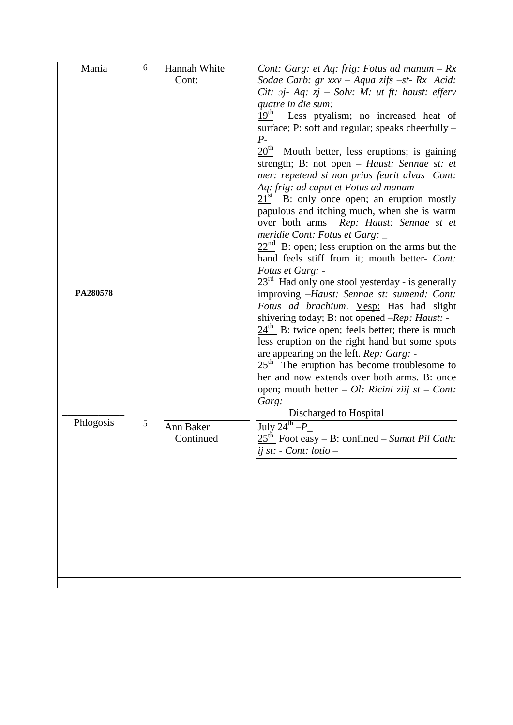| Mania     | 6 | Hannah White | Cont: Garg: et Aq: frig: Fotus ad manum $-Rx$                     |
|-----------|---|--------------|-------------------------------------------------------------------|
|           |   | Cont:        | Sodae Carb: gr xxv - Aqua zifs -st- Rx Acid:                      |
|           |   |              | Cit: $2j$ - Aq: $zj$ – Solv: M: ut ft: haust: efferv              |
|           |   |              | quatre in die sum:                                                |
|           |   |              | 19 <sup>th</sup><br>Less ptyalism; no increased heat of           |
|           |   |              | surface; P: soft and regular; speaks cheerfully -                 |
|           |   |              | $P-$                                                              |
|           |   |              | $20^{\text{th}}$<br>Mouth better, less eruptions; is gaining      |
|           |   |              | strength; B: not open - Haust: Sennae st: et                      |
|           |   |              | mer: repetend si non prius feurit alvus Cont:                     |
|           |   |              | Aq: frig: ad caput et Fotus ad manum -                            |
|           |   |              | $21st$ B: only once open; an eruption mostly                      |
|           |   |              | papulous and itching much, when she is warm                       |
|           |   |              | over both arms Rep: Haust: Sennae st et                           |
|           |   |              | meridie Cont: Fotus et Garg: _                                    |
|           |   |              | $22nd$ B: open; less eruption on the arms but the                 |
|           |   |              | hand feels stiff from it; mouth better- Cont:                     |
|           |   |              | Fotus et Garg: -                                                  |
|           |   |              | $23rd$ Had only one stool yesterday - is generally                |
| PA280578  |   |              | improving -Haust: Sennae st: sumend: Cont:                        |
|           |   |              | Fotus ad brachium. Vesp: Has had slight                           |
|           |   |              | shivering today; B: not opened -Rep: Haust: -                     |
|           |   |              | $24th$ B: twice open; feels better; there is much                 |
|           |   |              | less eruption on the right hand but some spots                    |
|           |   |              | are appearing on the left. Rep: Garg: -                           |
|           |   |              | $25th$ The eruption has become troublesome to                     |
|           |   |              | her and now extends over both arms. B: once                       |
|           |   |              | open; mouth better $-$ <i>Ol: Ricini ziij st</i> $-$ <i>Cont:</i> |
|           |   |              | Garg:                                                             |
|           |   |              | Discharged to Hospital                                            |
| Phlogosis | 5 | Ann Baker    | July $24^{\text{th}} - P$                                         |
|           |   | Continued    | $25th$ Foot easy – B: confined – Sumat Pil Cath:                  |
|           |   |              | ij st: - Cont: lotio -                                            |
|           |   |              |                                                                   |
|           |   |              |                                                                   |
|           |   |              |                                                                   |
|           |   |              |                                                                   |
|           |   |              |                                                                   |
|           |   |              |                                                                   |
|           |   |              |                                                                   |
|           |   |              |                                                                   |
|           |   |              |                                                                   |
|           |   |              |                                                                   |
|           |   |              |                                                                   |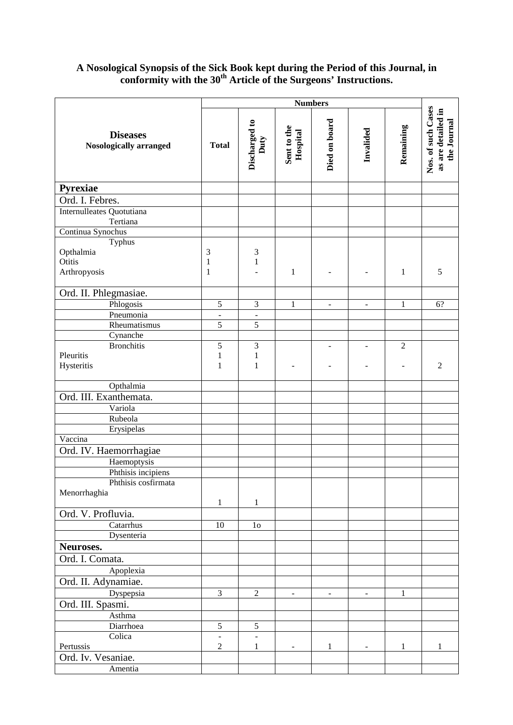#### **A Nosological Synopsis of the Sick Book kept during the Period of this Journal, in conformity with the 30th Article of the Surgeons' Instructions.**

|                                           | <b>Numbers</b>   |                          |                         |                          |                          |                |                                                         |
|-------------------------------------------|------------------|--------------------------|-------------------------|--------------------------|--------------------------|----------------|---------------------------------------------------------|
| <b>Diseases</b><br>Nosologically arranged | <b>Total</b>     | Discharged to<br>Duty    | Sent to the<br>Hospital | Died on board            | Invalided                | Remaining      | Nos. of such Cases<br>as are detailed in<br>the Journal |
| Pyrexiae                                  |                  |                          |                         |                          |                          |                |                                                         |
| Ord. I. Febres.                           |                  |                          |                         |                          |                          |                |                                                         |
| Internulleates Quotutiana                 |                  |                          |                         |                          |                          |                |                                                         |
| Tertiana                                  |                  |                          |                         |                          |                          |                |                                                         |
| Continua Synochus                         |                  |                          |                         |                          |                          |                |                                                         |
| Typhus                                    |                  |                          |                         |                          |                          |                |                                                         |
| Opthalmia                                 | 3                | 3                        |                         |                          |                          |                |                                                         |
| Otitis                                    | $\mathbf{1}$     | $\mathbf{1}$             |                         |                          |                          |                |                                                         |
| Arthropyosis                              | $\mathbf{1}$     |                          | $\mathbf{1}$            | $\blacksquare$           |                          | 1              | 5                                                       |
| Ord. II. Phlegmasiae.                     |                  |                          |                         |                          |                          |                |                                                         |
| Phlogosis                                 | $\sqrt{5}$       | 3                        | $\mathbf{1}$            | $\overline{\phantom{a}}$ | $\overline{\phantom{a}}$ | 1              | 6?                                                      |
| Pneumonia                                 | $\blacksquare$   | $\overline{\phantom{a}}$ |                         |                          |                          |                |                                                         |
| Rheumatismus                              | $\sqrt{5}$       | $\overline{5}$           |                         |                          |                          |                |                                                         |
| Cynanche                                  |                  |                          |                         |                          |                          |                |                                                         |
| <b>Bronchitis</b>                         | $\mathfrak s$    | 3                        |                         | $\overline{\phantom{a}}$ | $\overline{\phantom{a}}$ | $\overline{2}$ |                                                         |
| Pleuritis                                 | $\mathbf{1}$     | $\mathbf{1}$             |                         |                          |                          |                |                                                         |
| Hysteritis                                | 1                | $\mathbf{1}$             |                         |                          |                          |                | $\overline{2}$                                          |
|                                           |                  |                          |                         |                          |                          |                |                                                         |
| Opthalmia                                 |                  |                          |                         |                          |                          |                |                                                         |
| Ord. III. Exanthemata.                    |                  |                          |                         |                          |                          |                |                                                         |
| Variola                                   |                  |                          |                         |                          |                          |                |                                                         |
| Rubeola                                   |                  |                          |                         |                          |                          |                |                                                         |
| Erysipelas                                |                  |                          |                         |                          |                          |                |                                                         |
| Vaccina                                   |                  |                          |                         |                          |                          |                |                                                         |
| Ord. IV. Haemorrhagiae                    |                  |                          |                         |                          |                          |                |                                                         |
| Haemoptysis                               |                  |                          |                         |                          |                          |                |                                                         |
| Phthisis incipiens                        |                  |                          |                         |                          |                          |                |                                                         |
| Phthisis cosfirmata                       |                  |                          |                         |                          |                          |                |                                                         |
| Menorrhaghia                              |                  |                          |                         |                          |                          |                |                                                         |
|                                           | 1                | $\mathbf{1}$             |                         |                          |                          |                |                                                         |
| Ord. V. Profluvia.                        |                  |                          |                         |                          |                          |                |                                                         |
| Catarrhus                                 | $10\,$           | 1 <sub>0</sub>           |                         |                          |                          |                |                                                         |
| Dysenteria                                |                  |                          |                         |                          |                          |                |                                                         |
| Neuroses.                                 |                  |                          |                         |                          |                          |                |                                                         |
| Ord. I. Comata.                           |                  |                          |                         |                          |                          |                |                                                         |
| Apoplexia                                 |                  |                          |                         |                          |                          |                |                                                         |
| Ord. II. Adynamiae.                       |                  |                          |                         |                          |                          |                |                                                         |
| Dyspepsia                                 | $\mathfrak{Z}$   | $\overline{2}$           | $\blacksquare$          | $\overline{\phantom{a}}$ | $\blacksquare$           | 1              |                                                         |
| Ord. III. Spasmi.                         |                  |                          |                         |                          |                          |                |                                                         |
| Asthma                                    |                  |                          |                         |                          |                          |                |                                                         |
| Diarrhoea                                 | 5                | 5                        |                         |                          |                          |                |                                                         |
| Colica                                    | $\overline{a}$   | $\Box$                   |                         |                          |                          |                |                                                         |
| Pertussis                                 | $\boldsymbol{2}$ | 1                        |                         | 1                        |                          | 1              | 1                                                       |
| Ord. Iv. Vesaniae.                        |                  |                          |                         |                          |                          |                |                                                         |
| Amentia                                   |                  |                          |                         |                          |                          |                |                                                         |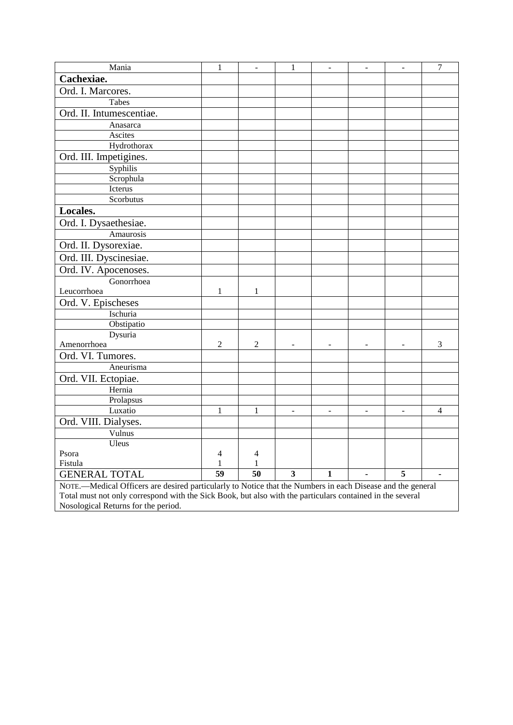| Mania                                                                                                      | $\mathbf{1}$   | $\overline{\phantom{a}}$ | $\mathbf{1}$            | $\overline{\phantom{a}}$ | $\blacksquare$           | $\blacksquare$           | $\overline{7}$ |
|------------------------------------------------------------------------------------------------------------|----------------|--------------------------|-------------------------|--------------------------|--------------------------|--------------------------|----------------|
| Cachexiae.                                                                                                 |                |                          |                         |                          |                          |                          |                |
| Ord. I. Marcores.                                                                                          |                |                          |                         |                          |                          |                          |                |
| Tabes                                                                                                      |                |                          |                         |                          |                          |                          |                |
| Ord. II. Intumescentiae.                                                                                   |                |                          |                         |                          |                          |                          |                |
| Anasarca                                                                                                   |                |                          |                         |                          |                          |                          |                |
| Ascites                                                                                                    |                |                          |                         |                          |                          |                          |                |
| Hydrothorax                                                                                                |                |                          |                         |                          |                          |                          |                |
| Ord. III. Impetigines.                                                                                     |                |                          |                         |                          |                          |                          |                |
| Syphilis                                                                                                   |                |                          |                         |                          |                          |                          |                |
| Scrophula                                                                                                  |                |                          |                         |                          |                          |                          |                |
| Icterus                                                                                                    |                |                          |                         |                          |                          |                          |                |
| Scorbutus                                                                                                  |                |                          |                         |                          |                          |                          |                |
| Locales.                                                                                                   |                |                          |                         |                          |                          |                          |                |
| Ord. I. Dysaethesiae.                                                                                      |                |                          |                         |                          |                          |                          |                |
| Amaurosis                                                                                                  |                |                          |                         |                          |                          |                          |                |
| Ord. II. Dysorexiae.                                                                                       |                |                          |                         |                          |                          |                          |                |
| Ord. III. Dyscinesiae.                                                                                     |                |                          |                         |                          |                          |                          |                |
| Ord. IV. Apocenoses.                                                                                       |                |                          |                         |                          |                          |                          |                |
| Gonorrhoea                                                                                                 |                |                          |                         |                          |                          |                          |                |
| Leucorrhoea                                                                                                | $\mathbf{1}$   | $\mathbf{1}$             |                         |                          |                          |                          |                |
| Ord. V. Epischeses                                                                                         |                |                          |                         |                          |                          |                          |                |
| Ischuria                                                                                                   |                |                          |                         |                          |                          |                          |                |
| Obstipatio                                                                                                 |                |                          |                         |                          |                          |                          |                |
| Dysuria                                                                                                    |                |                          |                         |                          |                          |                          |                |
| Amenorrhoea                                                                                                | $\overline{2}$ | 2                        |                         |                          |                          |                          | $\mathfrak{Z}$ |
| Ord. VI. Tumores.                                                                                          |                |                          |                         |                          |                          |                          |                |
| Aneurisma                                                                                                  |                |                          |                         |                          |                          |                          |                |
| Ord. VII. Ectopiae.                                                                                        |                |                          |                         |                          |                          |                          |                |
| Hernia                                                                                                     |                |                          |                         |                          |                          |                          |                |
| Prolapsus                                                                                                  |                |                          |                         |                          |                          |                          |                |
| Luxatio                                                                                                    | 1              | 1                        | $\Box$                  | $\blacksquare$           | $\overline{\phantom{a}}$ | $\overline{\phantom{a}}$ | 4              |
| Ord. VIII. Dialyses.                                                                                       |                |                          |                         |                          |                          |                          |                |
| Vulnus                                                                                                     |                |                          |                         |                          |                          |                          |                |
| Uleus                                                                                                      |                |                          |                         |                          |                          |                          |                |
| Psora                                                                                                      | 4              | $\overline{4}$           |                         |                          |                          |                          |                |
| Fistula                                                                                                    | $\mathbf{1}$   | $\mathbf{1}$             |                         |                          |                          |                          |                |
| <b>GENERAL TOTAL</b>                                                                                       | 59             | 50                       | $\overline{\mathbf{3}}$ | $\mathbf{1}$             |                          | 5                        |                |
| NOTE.—Medical Officers are desired particularly to Notice that the Numbers in each Disease and the general |                |                          |                         |                          |                          |                          |                |
| Total must not only correspond with the Sick Book, but also with the particulars contained in the several  |                |                          |                         |                          |                          |                          |                |
| Nosological Returns for the period.                                                                        |                |                          |                         |                          |                          |                          |                |